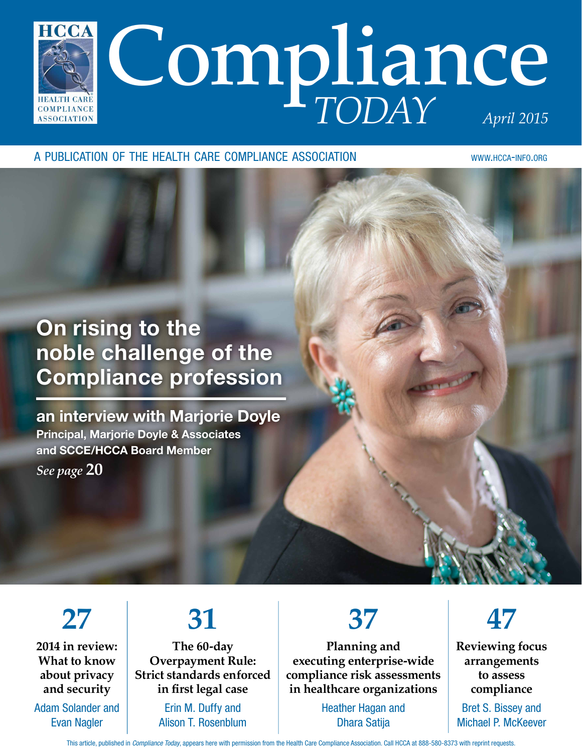

A PUBLICATION OF THE HEALTH CARE COMPLIANCE ASSOCIATION WWW.HCCA-INFO.ORG

# On rising to the noble challenge of the Compliance profession

an interview with Marjorie Doyle Principal, Marjorie Doyle & Associates and SCCE/HCCA Board Member *See page* **20**

**27**

**2014 in review: What to know about privacy and security**

Adam Solander and Evan Nagler

# **31**

**The 60-day Overpayment Rule: Strict standards enforced in frst legal case**

> Erin M. Duffy and Alison T. Rosenblum

**37**

**Planning and executing enterprise-wide compliance risk assessments in healthcare organizations**

> Heather Hagan and Dhara Satija



**Reviewing focus arrangements to assess compliance**

Bret S. Bissey and Michael P. McKeever

This article, published in Compliance Today, appears here with permission from the Health Care Compliance Association. Call HCCA at 888-580-8373 with reprint requests.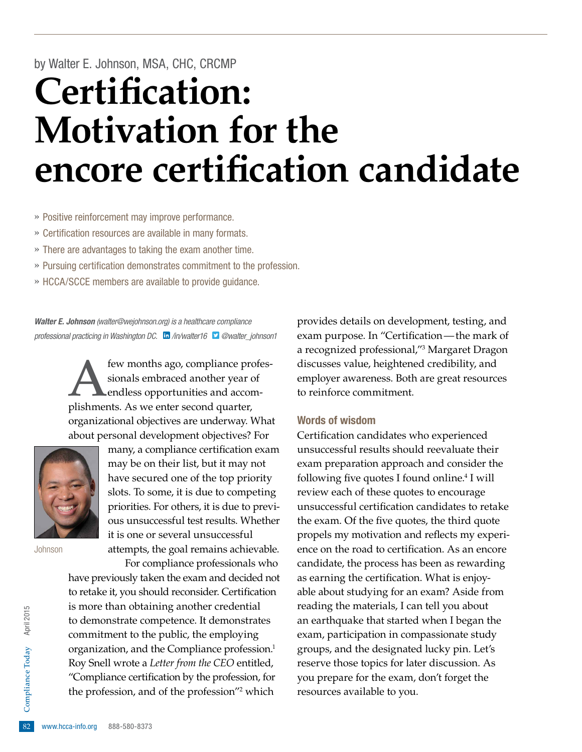# by Walter E. Johnson, MSA, CHC, CRCMP **Certifcation: Motivation for the encore certifcation candidate**

- » Positive reinforcement may improve performance.
- » Certifcation resources are available in many formats.
- » There are advantages to taking the exam another time.
- » Pursuing certifcation demonstrates commitment to the profession.
- » HCCA/SCCE members are available to provide guidance.

Walter E. Johnson (walter@wejohnson.org) is a healthcare compliance professional practicing in Washington DC.  $\ln$  [/in/walter16](http://www.linkedin.com/in/walter16)  $\Box$  [@walter\\_johnson1](http://twitter.com/walter_johnson1)

> few months ago, compliance professionals embraced another year of endless opportunities and accomplishments. As we enter second quarter, organizational objectives are underway. What about personal development objectives? For



many, a compliance certification exam may be on their list, but it may not have secured one of the top priority slots. To some, it is due to competing priorities. For others, it is due to previous unsuccessful test results. Whether it is one or several unsuccessful attempts, the goal remains achievable.

Johnson

<sup>82</sup> "Compliance certification by the profession, for<br>the profession, and of the profession"<sup>2</sup> which<br><sup>82</sup> www.hcca-info.org 888-580-8373 For compliance professionals who have previously taken the exam and decided not to retake it, you should reconsider. Certification is more than obtaining another credential to demonstrate competence. It demonstrates commitment to the public, the employing organization, and the Compliance profession.<sup>1</sup> Roy Snell wrote a *Letter from the CEO* entitled, the profession, and of the profession"2 which

provides details on development, testing, and exam purpose. In "Certification—the mark of a recognized professional,"3 Margaret Dragon discusses value, heightened credibility, and employer awareness. Both are great resources to reinforce commitment.

#### Words of wisdom

Certifcation candidates who experienced unsuccessful results should reevaluate their exam preparation approach and consider the following five quotes I found online.<sup>4</sup> I will review each of these quotes to encourage unsuccessful certifcation candidates to retake the exam. Of the five quotes, the third quote propels my motivation and refects my experience on the road to certification. As an encore candidate, the process has been as rewarding as earning the certification. What is enjoyable about studying for an exam? Aside from reading the materials, I can tell you about an earthquake that started when I began the exam, participation in compassionate study groups, and the designated lucky pin. Let's reserve those topics for later discussion. As you prepare for the exam, don't forget the resources available to you.

April 2015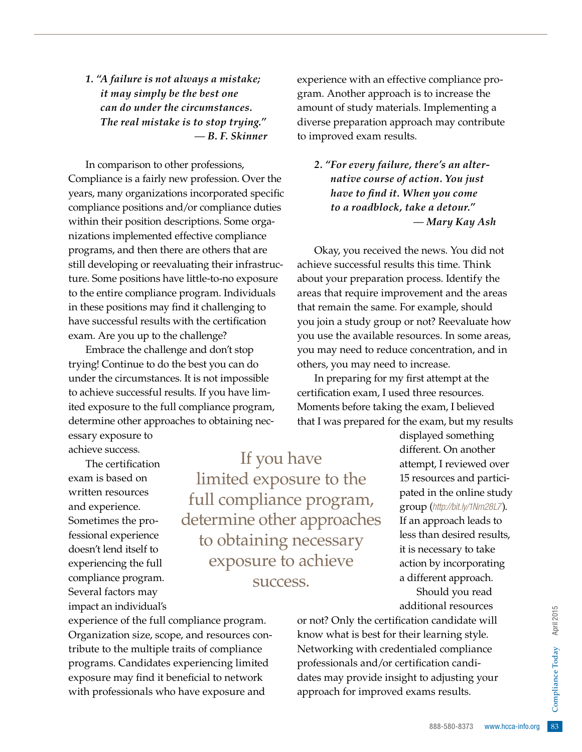*1. "A failure is not always a mistake; it may simply be the best one can do under the circumstances. The real mistake is to stop trying."*  — *B. F. Skinner*

In comparison to other professions, Compliance is a fairly new profession. Over the years, many organizations incorporated specifc compliance positions and/or compliance duties within their position descriptions. Some organizations implemented effective compliance programs, and then there are others that are still developing or reevaluating their infrastructure. Some positions have little-to-no exposure to the entire compliance program. Individuals in these positions may find it challenging to have successful results with the certification exam. Are you up to the challenge?

Embrace the challenge and don't stop trying! Continue to do the best you can do under the circumstances. It is not impossible to achieve successful results. If you have limited exposure to the full compliance program, determine other approaches to obtaining necessary exposure to

achieve success.

The certification exam is based on written resources and experience. Sometimes the professional experience doesn't lend itself to experiencing the full compliance program. Several factors may impact an individual's

If you have limited exposure to the full compliance program, determine other approaches to obtaining necessary exposure to achieve success.

experience of the full compliance program. Organization size, scope, and resources contribute to the multiple traits of compliance programs. Candidates experiencing limited exposure may find it beneficial to network with professionals who have exposure and

experience with an effective compliance program. Another approach is to increase the amount of study materials. Implementing a diverse preparation approach may contribute to improved exam results.

*2. "For every failure, there's an alternative course of action. You just have to fnd it. When you come to a roadblock, take a detour."*  — *Mary Kay Ash*

Okay, you received the news. You did not achieve successful results this time. Think about your preparation process. Identify the areas that require improvement and the areas that remain the same. For example, should you join a study group or not? Reevaluate how you use the available resources. In some areas, you may need to reduce concentration, and in others, you may need to increase.

In preparing for my first attempt at the certification exam, I used three resources. Moments before taking the exam, I believed that I was prepared for the exam, but my results

> displayed something different. On another attempt, I reviewed over 15 resources and participated in the online study group (http://bit.ly/1Nm28L7). If an approach leads to less than desired results, it is necessary to take action by incorporating a different approach. Should you read additional resources

adjusting your<br>s results.<br>888-580-8373 www.hcca-info.org 83 or not? Only the certifcation candidate will know what is best for their learning style. Networking with credentialed compliance professionals and/or certification candidates may provide insight to adjusting your approach for improved exams results.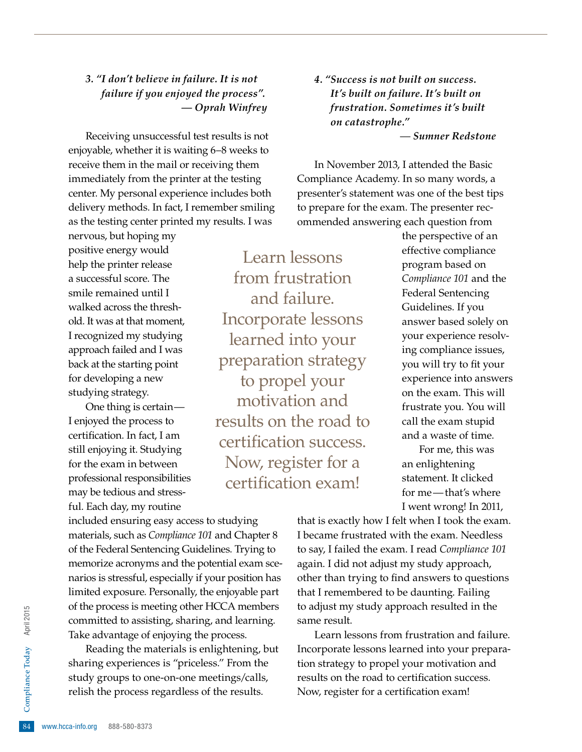### *3. "I don't believe in failure. It is not failure if you enjoyed the process". — Oprah Winfrey*

Receiving unsuccessful test results is not enjoyable, whether it is waiting 6–8 weeks to receive them in the mail or receiving them immediately from the printer at the testing center. My personal experience includes both delivery methods. In fact, I remember smiling as the testing center printed my results. I was

nervous, but hoping my positive energy would help the printer release a successful score. The smile remained until I walked across the threshold. It was at that moment, I recognized my studying approach failed and I was back at the starting point for developing a new studying strategy.

One thing is certain— I enjoyed the process to certifcation. In fact, I am still enjoying it. Studying for the exam in between professional responsibilities may be tedious and stressful. Each day, my routine

Learn lessons from frustration and failure. Incorporate lessons learned into your preparation strategy to propel your motivation and results on the road to certification success. Now, register for a certification exam!

*4. "Success is not built on success. It's built on failure. It's built on frustration. Sometimes it's built on catastrophe."* — *Sumner Redstone*

In November 2013, I attended the Basic Compliance Academy. In so many words, a presenter's statement was one of the best tips to prepare for the exam. The presenter recommended answering each question from

> the perspective of an effective compliance program based on *Compliance 101* and the Federal Sentencing Guidelines. If you answer based solely on your experience resolving compliance issues, you will try to fit your experience into answers on the exam. This will frustrate you. You will call the exam stupid and a waste of time.

For me, this was an enlightening statement. It clicked for me—that's where I went wrong! In 2011,

included ensuring easy access to studying materials, such as *Compliance 101* and Chapter 8 of the Federal Sentencing Guidelines. Trying to memorize acronyms and the potential exam scenarios is stressful, especially if your position has limited exposure. Personally, the enjoyable part of the process is meeting other HCCA members committed to assisting, sharing, and learning. Take advantage of enjoying the process.

study groups to one-on-one meetings/calls,<br>relish the process regardless of the results.<br><sup>84</sup> www.hcca-info.org 888-580-8373 Reading the materials is enlightening, but sharing experiences is "priceless." From the relish the process regardless of the results.

that is exactly how I felt when I took the exam. I became frustrated with the exam. Needless to say, I failed the exam. I read *Compliance 101* again. I did not adjust my study approach, other than trying to find answers to questions that I remembered to be daunting. Failing to adjust my study approach resulted in the same result.

Learn lessons from frustration and failure. Incorporate lessons learned into your preparation strategy to propel your motivation and results on the road to certification success. Now, register for a certification exam!